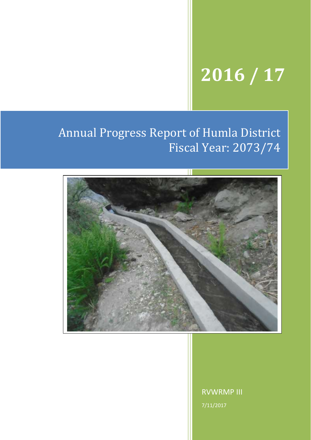# **2016 / 17**

## Annual Progress Report of Humla District Fiscal Year: 2073/74



RVWRMP III 7/11/2017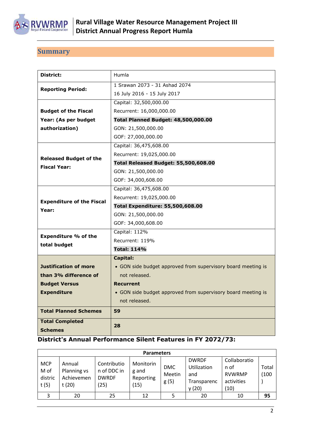

## <span id="page-1-0"></span>**Summary**

| District:                        | Humla                                                        |
|----------------------------------|--------------------------------------------------------------|
|                                  | 1 Srawan 2073 - 31 Ashad 2074                                |
| <b>Reporting Period:</b>         | 16 July 2016 - 15 July 2017                                  |
|                                  | Capital: 32,500,000.00                                       |
| <b>Budget of the Fiscal</b>      | Recurrent: 16,000,000.00                                     |
| Year: (As per budget             | <b>Total Planned Budget: 48,500,000.00</b>                   |
| authorization)                   | GON: 21,500,000.00                                           |
|                                  | GOF: 27,000,000.00                                           |
|                                  | Capital: 36,475,608.00                                       |
| <b>Released Budget of the</b>    | Recurrent: 19,025,000.00                                     |
| <b>Fiscal Year:</b>              | Total Released Budget: 55,500,608.00                         |
|                                  | GON: 21,500,000.00                                           |
|                                  | GOF: 34,000,608.00                                           |
|                                  | Capital: 36,475,608.00                                       |
|                                  | Recurrent: 19,025,000.00                                     |
|                                  |                                                              |
| <b>Expenditure of the Fiscal</b> | <b>Total Expenditure: 55,500,608.00</b>                      |
| Year:                            | GON: 21,500,000.00                                           |
|                                  | GOF: 34,000,608.00                                           |
|                                  | Capital: 112%                                                |
| <b>Expenditure % of the</b>      | Recurrent: 119%                                              |
| total budget                     | <b>Total: 114%</b>                                           |
|                                  | <b>Capital:</b>                                              |
| <b>Justification of more</b>     | • GON side budget approved from supervisory board meeting is |
| than 3% difference of            | not released.                                                |
| <b>Budget Versus</b>             | <b>Recurrent</b>                                             |
| <b>Expenditure</b>               | • GON side budget approved from supervisory board meeting is |
|                                  | not released.                                                |
| <b>Total Planned Schemes</b>     | 59                                                           |
| <b>Total Completed</b>           | 28                                                           |

#### **District's Annual Performance Silent Features in FY 2072/73:**

|                                       | <b>Parameters</b>                             |                                                    |                                         |                              |                                                                   |                                                             |                |
|---------------------------------------|-----------------------------------------------|----------------------------------------------------|-----------------------------------------|------------------------------|-------------------------------------------------------------------|-------------------------------------------------------------|----------------|
| <b>MCP</b><br>M of<br>distric<br>t(5) | Annual<br>Planning vs<br>Achievemen<br>t (20) | Contributio<br>n of DDC in<br><b>DWRDF</b><br>(25) | Monitorin<br>g and<br>Reporting<br>(15) | <b>DMC</b><br>Meetin<br>g(5) | <b>DWRDF</b><br><b>Utilization</b><br>and<br>Transparenc<br>y(20) | Collaboratio<br>n of<br><b>RVWRMP</b><br>activities<br>(10) | Total<br>(100) |
| 3                                     | 20                                            | 25                                                 | 12                                      |                              | 20                                                                | 10                                                          | 95             |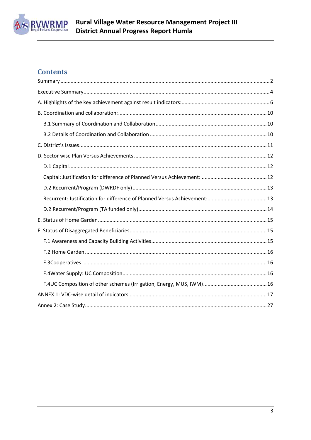

## **Contents**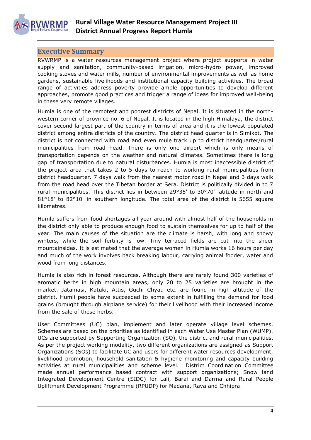

#### <span id="page-3-0"></span>**Executive Summary**

RVWRMP is a water resources management project where project supports in water supply and sanitation, community-based irrigation, micro-hydro power, improved cooking stoves and water mills, number of environmental improvements as well as home gardens, sustainable livelihoods and institutional capacity building activities. The broad range of activities address poverty provide ample opportunities to develop different approaches, promote good practices and trigger a range of ideas for improved well-being in these very remote villages.

Humla is one of the remotest and poorest districts of Nepal. It is situated in the northwestern corner of province no. 6 of Nepal. It is located in the high Himalaya, the district cover second largest part of the country in terms of area and it is the lowest populated district among entire districts of the country. The district head quarter is in Simikot. The district is not connected with road and even mule track up to district headquarter/rural municipalities from road head. There is only one airport which is only means of transportation depends on the weather and natural climates. Sometimes there is long gap of transportation due to natural disturbances. Humla is most inaccessible district of the project area that takes 2 to 5 days to reach to working rural municipalities from district headquarter. 7 days walk from the nearest motor road in Nepal and 3 days walk from the road head over the Tibetan border at Sera. District is politically divided in to 7 rural municipalities. This district lies in between 29°35' to 30°70' latitude in north and 81°18' to 82°10' in southern longitude. The total area of the district is 5655 square kilometres.

Humla suffers from food shortages all year around with almost half of the households in the district only able to produce enough food to sustain themselves for up to half of the year. The main causes of the situation are the climate is harsh, with long and snowy winters, while the soil fertility is low. Tiny terraced fields are cut into the sheer mountainsides. It is estimated that the average women in Humla works 16 hours per day and much of the work involves back breaking labour, carrying animal fodder, water and wood from long distances.

Humla is also rich in forest resources. Although there are rarely found 300 varieties of aromatic herbs in high mountain areas, only 20 to 25 varieties are brought in the market. Jatamasi, Katuki, Attis, Guchi Chyau etc. are found in high altitude of the district. Humli people have succeeded to some extent in fulfilling the demand for food grains (brought through airplane service) for their livelihood with their increased income from the sale of these herbs.

User Committees (UC) plan, implement and later operate village level schemes. Schemes are based on the priorities as identified in each Water Use Master Plan (WUMP). UCs are supported by Supporting Organization (SO), the district and rural municipalities. As per the project working modality, two different organizations are assigned as Support Organizations (SOs) to facilitate UC and users for different water resources development, livelihood promotion, household sanitation & hygiene monitoring and capacity building activities at rural municipalities and scheme level. District Coordination Committee made annual performance based contract with support organizations; Snow land Integrated Development Centre (SIDC) for Lali, Barai and Darma and Rural People Upliftment Development Programme (RPUDP) for Madana, Raya and Chhipra.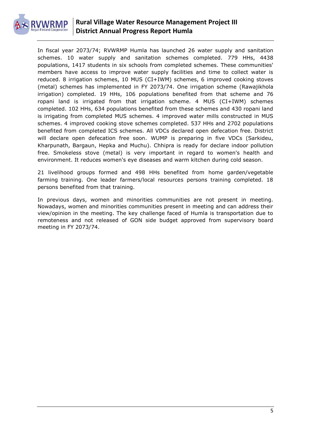

In fiscal year 2073/74; RVWRMP Humla has launched 26 water supply and sanitation schemes. 10 water supply and sanitation schemes completed. 779 HHs, 4438 populations, 1417 students in six schools from completed schemes. These communities' members have access to improve water supply facilities and time to collect water is reduced. 8 irrigation schemes, 10 MUS (CI+IWM) schemes, 6 improved cooking stoves (metal) schemes has implemented in FY 2073/74. One irrigation scheme (Rawajikhola irrigation) completed. 19 HHs, 106 populations benefited from that scheme and 76 ropani land is irrigated from that irrigation scheme. 4 MUS (CI+IWM) schemes completed. 102 HHs, 634 populations benefited from these schemes and 430 ropani land is irrigating from completed MUS schemes. 4 improved water mills constructed in MUS schemes. 4 improved cooking stove schemes completed. 537 HHs and 2702 populations benefited from completed ICS schemes. All VDCs declared open defecation free. District will declare open defecation free soon. WUMP is preparing in five VDCs (Sarkideu, Kharpunath, Bargaun, Hepka and Muchu). Chhipra is ready for declare indoor pollution free. Smokeless stove (metal) is very important in regard to women's health and environment. It reduces women's eye diseases and warm kitchen during cold season.

21 livelihood groups formed and 498 HHs benefited from home garden/vegetable farming training. One leader farmers/local resources persons training completed. 18 persons benefited from that training.

In previous days, women and minorities communities are not present in meeting. Nowadays, women and minorities communities present in meeting and can address their view/opinion in the meeting. The key challenge faced of Humla is transportation due to remoteness and not released of GON side budget approved from supervisory board meeting in FY 2073/74.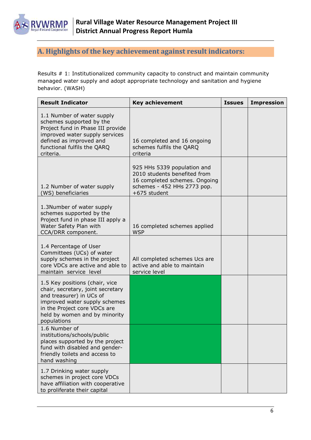

## <span id="page-5-0"></span>**A. Highlights of the key achievement against result indicators:**

Results # 1: Institutionalized community capacity to construct and maintain community managed water supply and adopt appropriate technology and sanitation and hygiene behavior. (WASH)

| <b>Result Indicator</b>                                                                                                                                                                                          | <b>Key achievement</b>                                                                                                                      | <b>Issues</b> | <b>Impression</b> |
|------------------------------------------------------------------------------------------------------------------------------------------------------------------------------------------------------------------|---------------------------------------------------------------------------------------------------------------------------------------------|---------------|-------------------|
| 1.1 Number of water supply<br>schemes supported by the<br>Project fund in Phase III provide<br>improved water supply services<br>defined as improved and<br>functional fulfils the QARQ<br>criteria.             | 16 completed and 16 ongoing<br>schemes fulfils the QARQ<br>criteria                                                                         |               |                   |
| 1.2 Number of water supply<br>(WS) beneficiaries                                                                                                                                                                 | 925 HHs 5339 population and<br>2010 students benefited from<br>16 completed schemes. Ongoing<br>schemes - 452 HHs 2773 pop.<br>+675 student |               |                   |
| 1.3Number of water supply<br>schemes supported by the<br>Project fund in phase III apply a<br>Water Safety Plan with<br>CCA/DRR component.                                                                       | 16 completed schemes applied<br><b>WSP</b>                                                                                                  |               |                   |
| 1.4 Percentage of User<br>Committees (UCs) of water<br>supply schemes in the project<br>core VDCs are active and able to<br>maintain service level                                                               | All completed schemes Ucs are<br>active and able to maintain<br>service level                                                               |               |                   |
| 1.5 Key positions (chair, vice<br>chair, secretary, joint secretary<br>and treasurer) in UCs of<br>improved water supply schemes<br>in the Project core VDCs are<br>held by women and by minority<br>populations |                                                                                                                                             |               |                   |
| 1.6 Number of<br>institutions/schools/public<br>places supported by the project<br>fund with disabled and gender-<br>friendly toilets and access to<br>hand washing                                              |                                                                                                                                             |               |                   |
| 1.7 Drinking water supply<br>schemes in project core VDCs<br>have affiliation with cooperative<br>to proliferate their capital                                                                                   |                                                                                                                                             |               |                   |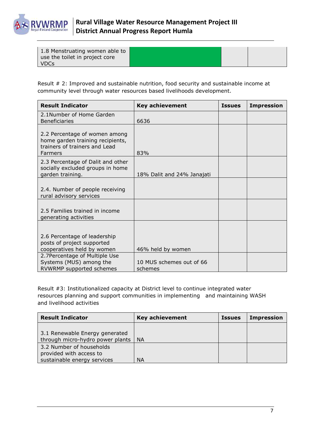

| 1.8 Menstruating women able to<br>use the toilet in project core |  |  |
|------------------------------------------------------------------|--|--|
| <b>VDCs</b>                                                      |  |  |

Result # 2: Improved and sustainable nutrition, food security and sustainable income at community level through water resources based livelihoods development.

| <b>Result Indicator</b>                                                                                                                                                          | <b>Key achievement</b>                                   | <b>Issues</b> | <b>Impression</b> |
|----------------------------------------------------------------------------------------------------------------------------------------------------------------------------------|----------------------------------------------------------|---------------|-------------------|
| 2.1Number of Home Garden<br><b>Beneficiaries</b>                                                                                                                                 | 6636                                                     |               |                   |
| 2.2 Percentage of women among<br>home garden training recipients,<br>trainers of trainers and Lead<br>Farmers                                                                    | 83%                                                      |               |                   |
| 2.3 Percentage of Dalit and other<br>socially excluded groups in home<br>garden training.                                                                                        | 18% Dalit and 24% Janajati                               |               |                   |
| 2.4. Number of people receiving<br>rural advisory services                                                                                                                       |                                                          |               |                   |
| 2.5 Families trained in income<br>generating activities                                                                                                                          |                                                          |               |                   |
| 2.6 Percentage of leadership<br>posts of project supported<br>cooperatives held by women<br>2.7Percentage of Multiple Use<br>Systems (MUS) among the<br>RVWRMP supported schemes | 46% held by women<br>10 MUS schemes out of 66<br>schemes |               |                   |

Result #3: Institutionalized capacity at District level to continue integrated water resources planning and support communities in implementing and maintaining WASH and livelihood activities

| <b>Result Indicator</b>                                                            | <b>Key achievement</b> | <b>Issues</b> | <b>Impression</b> |
|------------------------------------------------------------------------------------|------------------------|---------------|-------------------|
| 3.1 Renewable Energy generated<br>through micro-hydro power plants   NA            |                        |               |                   |
| 3.2 Number of households<br>provided with access to<br>sustainable energy services | <b>NA</b>              |               |                   |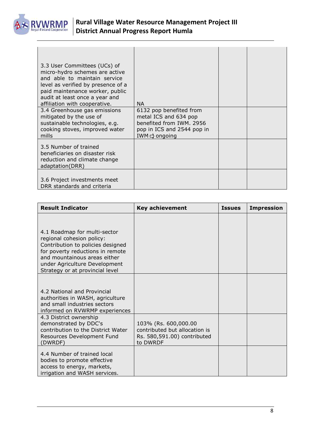

| 3.3 User Committees (UCs) of<br>micro-hydro schemes are active<br>and able to maintain service<br>level as verified by presence of a<br>paid maintenance worker, public<br>audit at least once a year and<br>affiliation with cooperative. | <b>NA</b>                                                                                                                               |  |
|--------------------------------------------------------------------------------------------------------------------------------------------------------------------------------------------------------------------------------------------|-----------------------------------------------------------------------------------------------------------------------------------------|--|
| 3.4 Greenhouse gas emissions<br>mitigated by the use of<br>sustainable technologies, e.g.<br>cooking stoves, improved water<br>mills                                                                                                       | 6132 pop benefited from<br>metal ICS and 634 pop<br>benefited from IWM, 2956<br>pop in ICS and 2544 pop in<br>IWM $\Rightarrow$ ongoing |  |
| 3.5 Number of trained<br>beneficiaries on disaster risk<br>reduction and climate change<br>adaptation(DRR)                                                                                                                                 |                                                                                                                                         |  |
| 3.6 Project investments meet<br>DRR standards and criteria                                                                                                                                                                                 |                                                                                                                                         |  |

| <b>Result Indicator</b>                                                                                                                                                                                                                | <b>Key achievement</b>                                                                           | <b>Issues</b> | <b>Impression</b> |
|----------------------------------------------------------------------------------------------------------------------------------------------------------------------------------------------------------------------------------------|--------------------------------------------------------------------------------------------------|---------------|-------------------|
| 4.1 Roadmap for multi-sector<br>regional cohesion policy:<br>Contribution to policies designed<br>for poverty reductions in remote<br>and mountainous areas either<br>under Agriculture Development<br>Strategy or at provincial level |                                                                                                  |               |                   |
| 4.2 National and Provincial<br>authorities in WASH, agriculture<br>and small industries sectors<br>informed on RVWRMP experiences                                                                                                      |                                                                                                  |               |                   |
| 4.3 District ownership<br>demonstrated by DDC's<br>contribution to the District Water<br>Resources Development Fund<br>(DWRDF)                                                                                                         | 103% (Rs. 600,000.00<br>contributed but allocation is<br>Rs. 580,591.00) contributed<br>to DWRDF |               |                   |
| 4.4 Number of trained local<br>bodies to promote effective<br>access to energy, markets,<br>irrigation and WASH services.                                                                                                              |                                                                                                  |               |                   |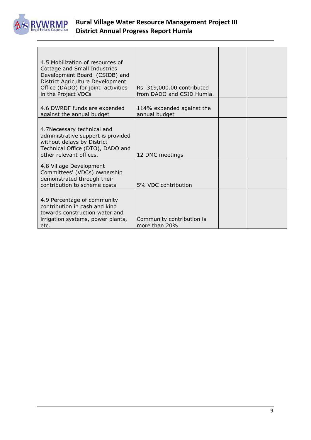

| 4.5 Mobilization of resources of<br>Cottage and Small Industries<br>Development Board (CSIDB) and<br>District Agriculture Development<br>Office (DADO) for joint activities<br>in the Project VDCs | Rs. 319,000.00 contributed<br>from DADO and CSID Humla. |  |
|----------------------------------------------------------------------------------------------------------------------------------------------------------------------------------------------------|---------------------------------------------------------|--|
| 4.6 DWRDF funds are expended<br>against the annual budget                                                                                                                                          | 114% expended against the<br>annual budget              |  |
| 4.7Necessary technical and<br>administrative support is provided<br>without delays by District<br>Technical Office (DTO), DADO and<br>other relevant offices.                                      | 12 DMC meetings                                         |  |
| 4.8 Village Development<br>Committees' (VDCs) ownership<br>demonstrated through their<br>contribution to scheme costs                                                                              | 5% VDC contribution                                     |  |
| 4.9 Percentage of community<br>contribution in cash and kind<br>towards construction water and<br>irrigation systems, power plants,<br>etc.                                                        | Community contribution is<br>more than 20%              |  |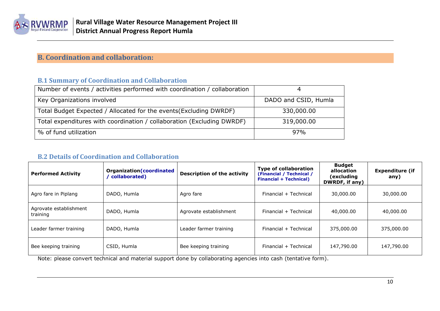

## **B. Coordination and collaboration:**

#### **B.1 Summary of Coordination and Collaboration**

| Number of events / activities performed with coordination / collaboration |                      |
|---------------------------------------------------------------------------|----------------------|
| Key Organizations involved                                                | DADO and CSID, Humla |
| Total Budget Expected / Allocated for the events (Excluding DWRDF)        | 330,000.00           |
| Total expenditures with coordination / collaboration (Excluding DWRDF)    | 319,000.00           |
| % of fund utilization                                                     | 97%                  |

#### **B.2 Details of Coordination and Collaboration**

<span id="page-9-1"></span><span id="page-9-0"></span>

| <b>Performed Activity</b>          | Organization (coordinated<br>collaborated) | <b>Description of the activity</b> | <b>Type of collaboration</b><br>(Financial / Technical /<br><b>Financial + Technical)</b> | <b>Budget</b><br>allocation<br>(excluding<br>DWRDF, if any) | <b>Expenditure (if</b><br>any) |
|------------------------------------|--------------------------------------------|------------------------------------|-------------------------------------------------------------------------------------------|-------------------------------------------------------------|--------------------------------|
| Agro fare in Piplang               | DADO, Humla                                | Agro fare                          | Financial + Technical                                                                     | 30,000.00                                                   | 30,000.00                      |
| Agrovate establishment<br>training | DADO, Humla                                | Agrovate establishment             | Financial + Technical                                                                     | 40,000.00                                                   | 40,000.00                      |
| Leader farmer training             | DADO, Humla                                | Leader farmer training             | Financial + Technical                                                                     | 375,000.00                                                  | 375,000.00                     |
| Bee keeping training               | CSID, Humla                                | Bee keeping training               | Financial + Technical                                                                     | 147,790.00                                                  | 147,790.00                     |

<span id="page-9-2"></span>Note: please convert technical and material support done by collaborating agencies into cash (tentative form).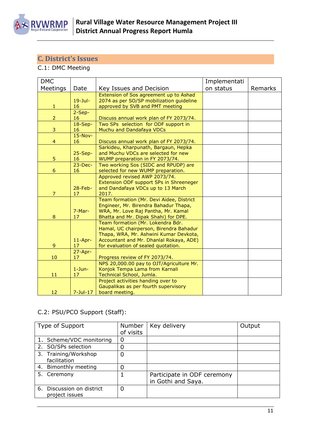

## <span id="page-10-0"></span>**C. District's Issues**

## C.1: DMC Meeting

| <b>DMC</b>     |                 |                                                                           | Implementati |         |
|----------------|-----------------|---------------------------------------------------------------------------|--------------|---------|
| Meetings       | Date            | Key Issues and Decision                                                   | on status    | Remarks |
|                |                 | Extension of Sos agreement up to Ashad                                    |              |         |
|                | $19 -$ Jul-     | 2074 as per SO/SP mobilization guideline                                  |              |         |
| $\mathbf{1}$   | 16              | approved by SVB and PMT meeting                                           |              |         |
|                | $2-Sep-$        |                                                                           |              |         |
| $\overline{2}$ | 16              | Discuss annual work plan of FY 2073/74.                                   |              |         |
|                | $18-Sep-$       | Two SPs selection for ODF support in                                      |              |         |
| 3              | 16              | Muchu and Dandafaya VDCs                                                  |              |         |
| 4              | $15-Nov-$<br>16 | Discuss annual work plan of FY 2073/74.                                   |              |         |
|                |                 | Sarkideu, Kharpunath, Bargaun, Hepka                                      |              |         |
|                | $25-Sep-$       | and Muchu VDCs are selected for new                                       |              |         |
| 5              | 16              | WUMP preparation in FY 2073/74.                                           |              |         |
|                | $23$ -Dec-      | Two working Sos (SIDC and RPUDP) are                                      |              |         |
| 6              | 16              | selected for new WUMP preparation.                                        |              |         |
|                |                 | Approved revised AWP 2073/74.                                             |              |         |
|                |                 | Extension ODF support SPs in Shreeneger                                   |              |         |
|                | $28$ -Feb-      | and Dandafaya VDCs up to 13 March                                         |              |         |
| $\overline{7}$ | 17              | 2017.                                                                     |              |         |
|                |                 | Team formation (Mr. Devi Aidee, District                                  |              |         |
|                |                 | Engineer, Mr. Birendra Bahadur Thapa,                                     |              |         |
| 8              | 7-Mar-<br>17    | WRA, Mr. Love Raj Pantha, Mr. Kamal                                       |              |         |
|                |                 | Bhatta and Mr. Dipak Shahi) for DPE.<br>Team formation (Mr. Lokendra Bdr. |              |         |
|                |                 | Hamal, UC chairperson, Birendra Bahadur                                   |              |         |
|                |                 | Thapa, WRA, Mr. Ashwini Kumar Devkota,                                    |              |         |
|                | $11$ -Apr-      | Accountant and Mr. Dhanlal Rokaya, ADE)                                   |              |         |
| 9              | 17              | for evaluation of sealed quotation.                                       |              |         |
|                | $27 - Apr -$    |                                                                           |              |         |
| 10             | 17              | Progress review of FY 2073/74.                                            |              |         |
|                |                 | NPS 20,000.00 pay to OJT/Agriculture Mr.                                  |              |         |
|                | $1-Jun-$        | Konjok Tempa Lama from Karnali                                            |              |         |
| 11             | 17              | Technical School, Jumla.                                                  |              |         |
|                |                 | Project activities handing over to                                        |              |         |
|                |                 | Gaupalikas as per fourth supervisory                                      |              |         |
| 12             | $7 -$ Jul $-17$ | board meeting.                                                            |              |         |

## C.2: PSU/PCO Support (Staff):

| Type of Support                             | Number    | Key delivery                                      | Output |
|---------------------------------------------|-----------|---------------------------------------------------|--------|
|                                             | of visits |                                                   |        |
| 1. Scheme/VDC monitoring                    | 0         |                                                   |        |
| 2. SO/SPs selection                         | 0         |                                                   |        |
| 3. Training/Workshop<br>facilitation        | 0         |                                                   |        |
| 4. Bimonthly meeting                        | 0         |                                                   |        |
| 5. Ceremony                                 |           | Participate in ODF ceremony<br>in Gothi and Saya. |        |
| 6. Discussion on district<br>project issues | 0         |                                                   |        |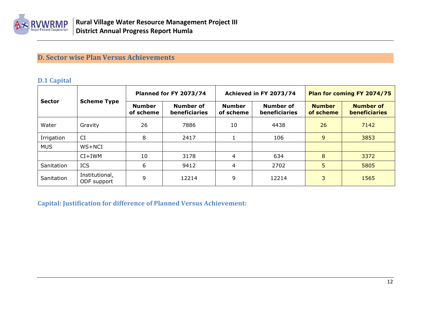

## **D. Sector wise Plan Versus Achievements**

#### **D.1 Capital**

|                                     |                               | <b>Planned for FY 2073/74</b> |                                   |                                                                 | Achieved in FY 2073/74 | Plan for coming FY 2074/75 |                                          |  |
|-------------------------------------|-------------------------------|-------------------------------|-----------------------------------|-----------------------------------------------------------------|------------------------|----------------------------|------------------------------------------|--|
| <b>Scheme Type</b><br><b>Sector</b> |                               | <b>Number</b><br>of scheme    | Number of<br><b>beneficiaries</b> | <b>Number</b><br>Number of<br><b>beneficiaries</b><br>of scheme |                        | <b>Number</b><br>of scheme | <b>Number of</b><br><b>beneficiaries</b> |  |
| Water                               | Gravity                       | 26                            | 7886                              | 10                                                              | 4438                   | 26                         | 7142                                     |  |
| Irrigation                          | <b>CI</b>                     | 8                             | 2417                              |                                                                 | 106                    | 9                          | 3853                                     |  |
| <b>MUS</b>                          | WS+NCI                        |                               |                                   |                                                                 |                        |                            |                                          |  |
|                                     | $CI+IWM$                      | 10                            | 3178                              | 4                                                               | 634                    | 8                          | 3372                                     |  |
| Sanitation                          | <b>ICS</b>                    | 6                             | 9412                              | 4                                                               | 2702                   | 5                          | 5805                                     |  |
| Sanitation                          | Institutional,<br>ODF support | 9                             | 12214                             | 9                                                               | 12214                  | 3                          | 1565                                     |  |

<span id="page-11-2"></span><span id="page-11-1"></span><span id="page-11-0"></span>**Capital: Justification for difference of Planned Versus Achievement:**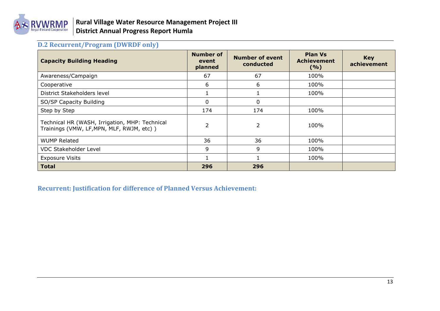

## **D.2 Recurrent/Program (DWRDF only)**

| <b>Capacity Building Heading</b>                                                            | <b>Number of</b><br>event<br>planned | <b>Number of event</b><br>conducted | <b>Plan Vs</b><br><b>Achievement</b><br>(9/6) | <b>Key</b><br>achievement |
|---------------------------------------------------------------------------------------------|--------------------------------------|-------------------------------------|-----------------------------------------------|---------------------------|
| Awareness/Campaign                                                                          | 67                                   | 67                                  | 100%                                          |                           |
| Cooperative                                                                                 | 6                                    | 6                                   | 100%                                          |                           |
| District Stakeholders level                                                                 |                                      |                                     | 100%                                          |                           |
| SO/SP Capacity Building                                                                     | 0                                    | 0                                   |                                               |                           |
| Step by Step                                                                                | 174                                  | 174                                 | 100%                                          |                           |
| Technical HR (WASH, Irrigation, MHP: Technical<br>Trainings (VMW, LF, MPN, MLF, RWJM, etc)) | $\overline{2}$                       | $\overline{2}$                      | 100%                                          |                           |
| <b>WUMP Related</b>                                                                         | 36                                   | 36                                  | 100%                                          |                           |
| <b>VDC Stakeholder Level</b>                                                                | 9                                    | 9                                   | 100%                                          |                           |
| <b>Exposure Visits</b>                                                                      |                                      |                                     | 100%                                          |                           |
| <b>Total</b>                                                                                | 296                                  | 296                                 |                                               |                           |

<span id="page-12-1"></span><span id="page-12-0"></span>**Recurrent: Justification for difference of Planned Versus Achievement:**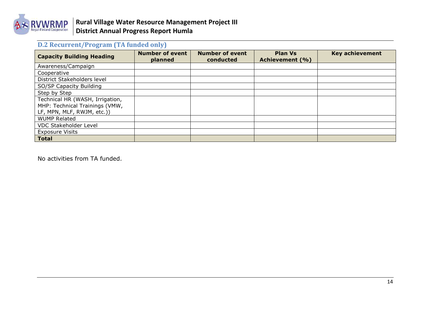

## **D.2 Recurrent/Program (TA funded only)**

| <b>Capacity Building Heading</b> | <b>Number of event</b><br>planned | <b>Number of event</b><br>conducted | <b>Plan Vs</b><br>Achievement (%) | <b>Key achievement</b> |
|----------------------------------|-----------------------------------|-------------------------------------|-----------------------------------|------------------------|
| Awareness/Campaign               |                                   |                                     |                                   |                        |
| Cooperative                      |                                   |                                     |                                   |                        |
| District Stakeholders level      |                                   |                                     |                                   |                        |
| SO/SP Capacity Building          |                                   |                                     |                                   |                        |
| Step by Step                     |                                   |                                     |                                   |                        |
| Technical HR (WASH, Irrigation,  |                                   |                                     |                                   |                        |
| MHP: Technical Trainings (VMW,   |                                   |                                     |                                   |                        |
| LF, MPN, MLF, RWJM, etc.))       |                                   |                                     |                                   |                        |
| <b>WUMP Related</b>              |                                   |                                     |                                   |                        |
| <b>VDC Stakeholder Level</b>     |                                   |                                     |                                   |                        |
| <b>Exposure Visits</b>           |                                   |                                     |                                   |                        |
| <b>Total</b>                     |                                   |                                     |                                   |                        |

<span id="page-13-0"></span>No activities from TA funded.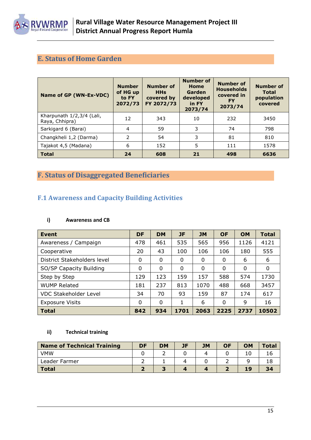

## <span id="page-14-0"></span>**E. Status of Home Garden**

| Name of GP (WN-Ex-VDC)                      | <b>Number</b><br>of HG up<br>to FY<br>2072/73 | <b>Number of</b><br><b>HHs</b><br>covered by<br>FY 2072/73 | <b>Number of</b><br>Home<br>Garden<br>developed<br>in FY<br>2073/74 | <b>Number of</b><br><b>Households</b><br>covered in<br><b>FY</b><br>2073/74 | <b>Number of</b><br><b>Total</b><br>population<br>covered |
|---------------------------------------------|-----------------------------------------------|------------------------------------------------------------|---------------------------------------------------------------------|-----------------------------------------------------------------------------|-----------------------------------------------------------|
| Kharpunath 1/2,3/4 (Lali,<br>Raya, Chhipra) | 12                                            | 343                                                        | 10                                                                  | 232                                                                         | 3450                                                      |
| Sarkigard 6 (Barai)                         | $\overline{4}$                                | 59                                                         | 3                                                                   | 74                                                                          | 798                                                       |
| Changkheli 1,2 (Darma)                      | 2                                             | 54                                                         | 3                                                                   | 81                                                                          | 810                                                       |
| Tajakot 4,5 (Madana)                        | 6                                             | 152                                                        | 5                                                                   | 111                                                                         | 1578                                                      |
| <b>Total</b>                                | 24                                            | 608                                                        | 21                                                                  | 498                                                                         | 6636                                                      |

## <span id="page-14-1"></span>**F. Status of Disaggregated Beneficiaries**

### <span id="page-14-2"></span>**F.1 Awareness and Capacity Building Activities**

#### **i) Awareness and CB**

| Event                        | DF       | <b>DM</b>   | JF   | <b>JM</b> | <b>OF</b> | <b>OM</b>   | <b>Total</b> |
|------------------------------|----------|-------------|------|-----------|-----------|-------------|--------------|
| Awareness / Campaign         | 478      | 461         | 535  | 565       | 956       | 1126        | 4121         |
| Cooperative                  | 20       | 43          | 100  | 106       | 106       | 180         | 555          |
| District Stakeholders level  | 0        | $\mathbf 0$ | 0    | 0         | 0         | 6           | 6            |
| SO/SP Capacity Building      | $\Omega$ | $\Omega$    | 0    | 0         | 0         | $\mathbf 0$ | 0            |
| Step by Step                 | 129      | 123         | 159  | 157       | 588       | 574         | 1730         |
| <b>WUMP Related</b>          | 181      | 237         | 813  | 1070      | 488       | 668         | 3457         |
| <b>VDC Stakeholder Level</b> | 34       | 70          | 93   | 159       | 87        | 174         | 617          |
| <b>Exposure Visits</b>       | 0        | 0           | 1    | 6         | 0         | 9           | 16           |
| <b>Total</b>                 | 842      | 934         | 1701 | 2063      | 2225      | 2737        | 10502        |

#### **ii) Technical training**

| <b>Name of Technical Training</b> | <b>DF</b> | <b>DM</b> | JF | <b>JM</b> | <b>OF</b> | <b>OM</b> | <b>Total</b> |
|-----------------------------------|-----------|-----------|----|-----------|-----------|-----------|--------------|
| <b>VMW</b>                        |           |           |    |           |           |           |              |
| Leader Farmer                     |           |           |    |           |           |           |              |
| <b>Total</b>                      |           |           |    |           |           | 19        | 34           |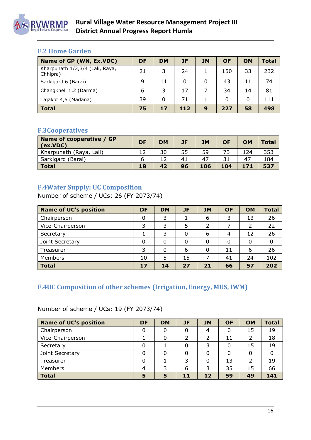

## <span id="page-15-0"></span>**F.2 Home Garden**

| Name of GP (WN, Ex.VDC)                     | DF | <b>DM</b> | JF  | <b>JM</b> | <b>OF</b> | <b>OM</b> | <b>Total</b> |
|---------------------------------------------|----|-----------|-----|-----------|-----------|-----------|--------------|
| Kharpunath 1/2,3/4 (Lali, Raya,<br>Chhipra) | 21 | 3         | 24  |           | 150       | 33        | 232          |
| Sarkigard 6 (Barai)                         | 9  | 11        | 0   | $\Omega$  | 43        | 11        | 74           |
| Changkheli 1,2 (Darma)                      | 6  | 3         | 17  |           | 34        | 14        | 81           |
| Tajakot 4,5 (Madana)                        | 39 | $\Omega$  | 71  |           | $\Omega$  | 0         | 111          |
| <b>Total</b>                                | 75 | 17        | 112 | 9         | 227       | 58        | 498          |

## <span id="page-15-1"></span>**F.3Cooperatives**

| Name of cooperative / GP<br>(ex.VDC) | <b>DF</b> | <b>DM</b> | JF | <b>JM</b> | <b>OF</b> | OM  | <b>Total</b> |
|--------------------------------------|-----------|-----------|----|-----------|-----------|-----|--------------|
| Kharpunath (Raya, Lali)              |           | 30        | 55 | 59        | フつ        | 124 | 353          |
| Sarkigard (Barai)                    |           |           | 41 | 47        |           | 47  | 184          |
| Total                                | 18        | 42        | 96 | 106       | 104       | 171 | 537          |

## <span id="page-15-2"></span>**F.4Water Supply: UC Composition**

Number of scheme / UCs: 26 (FY 2073/74)

| <b>Name of UC's position</b> | <b>DF</b> | <b>DM</b> | JF | <b>JM</b> | <b>OF</b> | <b>OM</b> | <b>Total</b> |
|------------------------------|-----------|-----------|----|-----------|-----------|-----------|--------------|
| Chairperson                  | 0         | 3         |    | 6         | 3         | 13        | 26           |
| Vice-Chairperson             | 3         | 3         |    | 2         |           |           | 22           |
| Secretary                    |           | 3         |    | 6         | 4         | 12        | 26           |
| Joint Secretary              | 0         |           |    | 0         | 0         |           | 0            |
| Treasurer                    | 3         |           | 6  | 0         | 11        | 6         | 26           |
| Members                      | 10        | 5         | 15 |           | 41        | 24        | 102          |
| <b>Total</b>                 | 17        | 14        | 27 | 21        | 66        | 57        | 202          |

## <span id="page-15-3"></span>**F.4UC Composition of other schemes (Irrigation, Energy, MUS, IWM)**

Number of scheme / UCs: 19 (FY 2073/74)

| <b>Name of UC's position</b> | DF | <b>DM</b> | JF | <b>JM</b> | <b>OF</b> | <b>OM</b> | <b>Total</b> |
|------------------------------|----|-----------|----|-----------|-----------|-----------|--------------|
| Chairperson                  | 0  |           |    | 4         | 0         | 15        | 19           |
| Vice-Chairperson             |    |           |    |           | 11        |           | 18           |
| Secretary                    | 0  |           |    | 3         | 0         | 15        | 19           |
| Joint Secretary              |    |           |    |           | 0         |           |              |
| Treasurer                    | 0  |           | 3  | $\Omega$  | 13        | っ         | 19           |
| Members                      |    |           | 6  | 3         | 35        | 15        | 66           |
| <b>Total</b>                 | 5  | 5         | 11 | 12        | 59        | 49        | 141          |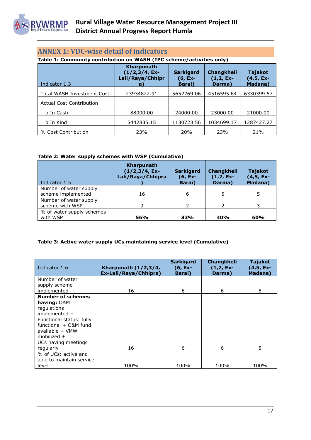

## <span id="page-16-0"></span>**ANNEX 1: VDC-wise detail of indicators**

**Table 1: Community contribution on WASH (IPC scheme/activities only)**

| Indicator 1.3                     | Kharpunath<br>$(1/2,3/4, Ex-$<br>Lali/Raya/Chhipr<br>a) | <b>Sarkigard</b><br>$(6, Ex-$<br>Barai) | <b>Changkheli</b><br>$(1,2, Ex-$<br>Darma) | <b>Tajakot</b><br>$(4, 5, Ex-$<br>Madana) |
|-----------------------------------|---------------------------------------------------------|-----------------------------------------|--------------------------------------------|-------------------------------------------|
| <b>Total WASH Investment Cost</b> | 23934822.91                                             | 5652269.06                              | 4516595.64                                 | 6330399.57                                |
| <b>Actual Cost Contribution</b>   |                                                         |                                         |                                            |                                           |
| o In Cash                         | 88000.00                                                | 24000.00                                | 23000.00                                   | 21000.00                                  |
| o In Kind                         | 5442835.15                                              | 1130723.56                              | 1034699.17                                 | 1287427.27                                |
| % Cost Contribution               | 23%                                                     | 20%                                     | 23%                                        | 21%                                       |

#### **Table 2: Water supply schemes with WSP (Cumulative)**

| Indicator 1.5                                | <b>Kharpunath</b><br>$(1/2,3/4, Ex-$<br>Lali/Raya/Chhipra | <b>Sarkigard</b><br>(6, Ex-<br>Barai) | Changkheli<br>$(1,2, Ex-$<br>Darma) | Tajakot<br>$(4,5, Ex-$<br><b>Madana</b> ) |
|----------------------------------------------|-----------------------------------------------------------|---------------------------------------|-------------------------------------|-------------------------------------------|
| Number of water supply<br>scheme implemented | 16                                                        | 6                                     | 5                                   |                                           |
| Number of water supply<br>scheme with WSP    | 9                                                         | $\mathcal{P}$                         | $\mathcal{L}$                       |                                           |
| % of water supply schemes<br>with WSP        | 56%                                                       | 33%                                   | 40%                                 | 60%                                       |

#### **Table 3: Active water supply UCs maintaining service level (Cumulative)**

| Indicator 1.6                                                                                                                                                                                        | Kharpunath $(1/2,3/4,$<br>Ex-Lali/Raya/Chhipra) | <b>Sarkigard</b><br>$(6, Ex-$<br><b>Barai</b> ) | Changkheli<br>$(1,2, Ex-$<br>Darma) | Tajakot<br>$(4,5, Ex-$<br>Madana) |
|------------------------------------------------------------------------------------------------------------------------------------------------------------------------------------------------------|-------------------------------------------------|-------------------------------------------------|-------------------------------------|-----------------------------------|
| Number of water<br>supply scheme<br>implemented                                                                                                                                                      | 16                                              | 6                                               | 6                                   | 5                                 |
| <b>Number of schemes</b><br>having: O&M<br>regulations<br>implemented +<br>Functional status: fully<br>functional + O&M fund<br>available + VMW<br>mobilized $+$<br>UCs having meetings<br>regularly | 16                                              | 6                                               | 6                                   | 5                                 |
| % of UCs: active and<br>able to maintain service<br>level                                                                                                                                            | 100%                                            | 100%                                            | 100%                                | 100%                              |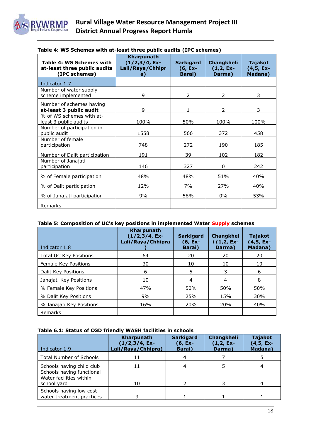| Table 4: WS Schemes with<br>at-least three public audits<br>(IPC schemes) | Kharpunath<br>$(1/2,3/4, Ex-$<br>Lali/Raya/Chhipr<br>a) | <b>Sarkigard</b><br>$(6, Ex-$<br>Barai) | Changkheli<br>$(1,2, Ex-$<br>Darma) | Tajakot<br>$(4,5, Ex-$<br>Madana) |
|---------------------------------------------------------------------------|---------------------------------------------------------|-----------------------------------------|-------------------------------------|-----------------------------------|
| Indicator 1.7                                                             |                                                         |                                         |                                     |                                   |
| Number of water supply<br>scheme implemented                              | 9                                                       | 2                                       | 2                                   | 3                                 |
| Number of schemes having<br>at-least 3 public audit                       | 9                                                       | 1                                       | 2                                   | 3                                 |
| % of WS schemes with at-<br>least 3 public audits                         | 100%                                                    | 50%                                     | 100%                                | 100%                              |
| Number of participation in<br>public audit                                | 1558                                                    | 566                                     | 372                                 | 458                               |
| Number of female<br>participation                                         | 748                                                     | 272                                     | 190                                 | 185                               |
| Number of Dalit participation                                             | 191                                                     | 39                                      | 102                                 | 182                               |
| Number of Janajati<br>participation                                       | 146                                                     | 327                                     | $\mathbf{0}$                        | 242                               |
| % of Female participation                                                 | 48%                                                     | 48%                                     | 51%                                 | 40%                               |
| % of Dalit participation                                                  | 12%                                                     | 7%                                      | 27%                                 | 40%                               |
| % of Janajati participation                                               | 9%                                                      | 58%                                     | $0\%$                               | 53%                               |
| Remarks                                                                   |                                                         |                                         |                                     |                                   |

#### **Table 4: WS Schemes with at-least three public audits (IPC schemes)**

#### **Table 5: Composition of UC's key positions in implemented Water Supply schemes**

| Indicator 1.8                 | <b>Kharpunath</b><br>$(1/2,3/4, Ex-$<br>Lali/Raya/Chhipra | <b>Sarkigard</b><br>$(6, Ex-$<br><b>Barai</b> ) | <b>Changkhel</b><br>$i$ (1,2, Ex-<br>Darma) | <b>Tajakot</b><br>$(4,5, Ex-$<br><b>Madana</b> ) |
|-------------------------------|-----------------------------------------------------------|-------------------------------------------------|---------------------------------------------|--------------------------------------------------|
| <b>Total UC Key Positions</b> | 64                                                        | 20                                              | 20                                          | 20                                               |
| Female Key Positions          | 30                                                        | 10                                              | 10                                          | 10                                               |
| Dalit Key Positions           | 6                                                         | 5                                               | 3                                           | 6                                                |
| Janajati Key Positions        | 10                                                        | 4                                               | 4                                           | 8                                                |
| % Female Key Positions        | 47%                                                       | 50%                                             | 50%                                         | 50%                                              |
| % Dalit Key Positions         | 9%                                                        | 25%                                             | 15%                                         | 30%                                              |
| % Janajati Key Positions      | 16%                                                       | 20%                                             | 20%                                         | 40%                                              |
| Remarks                       |                                                           |                                                 |                                             |                                                  |

#### **Table 6.1: Status of CGD friendly WASH facilities in schools**

| Indicator 1.9                                                       | Kharpunath<br>$(1/2,3/4, Ex-$<br>Lali/Raya/Chhipra) | <b>Sarkigard</b><br>(6, Ex-<br>Barai) | Changkheli<br>$(1,2, Ex-$<br>Darma) | <b>Tajakot</b><br>$(4, 5, Ex-$<br>Madana) |
|---------------------------------------------------------------------|-----------------------------------------------------|---------------------------------------|-------------------------------------|-------------------------------------------|
| <b>Total Number of Schools</b>                                      | 11                                                  |                                       |                                     |                                           |
| Schools having child club                                           | 11                                                  |                                       |                                     |                                           |
| Schools having functional<br>Water facilities within<br>school yard | 10                                                  |                                       |                                     |                                           |
| Schools having low cost<br>water treatment practices                |                                                     |                                       |                                     |                                           |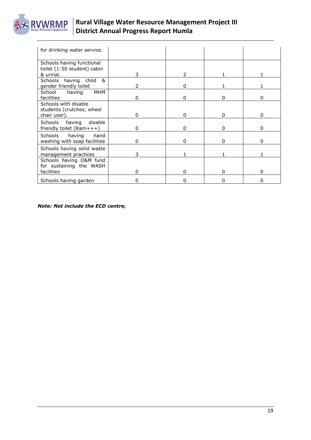

| for drinking water service.                                       |   |          |   |              |
|-------------------------------------------------------------------|---|----------|---|--------------|
| Schools having functional<br>toilet (1:50 student) cabin          |   |          |   |              |
| & urinal.                                                         | 3 | 2        |   |              |
| Schools having child<br>&<br>gender friendly toilet               | 2 | O        |   |              |
| MHM<br>School<br>having<br>facilities                             | 0 | 0        | O | 0            |
| Schools with disable<br>students (crutches, wheel<br>chair user). | 0 | O        | O | O            |
| disable<br><b>Schools</b><br>having<br>friendly toilet (Ram+++)   | 0 | O        | ი |              |
| Schools<br>having<br>hand<br>washing with soap facilities         | 0 | n        | O | n            |
| Schools having solid waste<br>management practices                | 3 |          |   |              |
| Schools having O&M fund<br>for sustaining the WASH                |   |          |   |              |
| facilities                                                        | 0 | $\Omega$ | O | <sup>0</sup> |
| Schools having garden                                             | 0 | n        | n |              |

*Note: Not include the ECD centre,*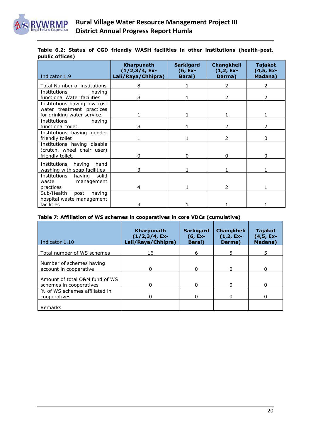

|                 |  |  |  |  |  | Table 6.2: Status of CGD friendly WASH facilities in other institutions (health-post, |
|-----------------|--|--|--|--|--|---------------------------------------------------------------------------------------|
| public offices) |  |  |  |  |  |                                                                                       |

| Indicator 1.9                                                                 | Kharpunath<br>(1/2,3/4, Ex-<br>Lali/Raya/Chhipra) | <b>Sarkigard</b><br>$(6, Ex-$<br>Barai) | Changkheli<br>$(1,2, Ex-$<br>Darma) | Tajakot<br>$(4,5, Ex-$<br>Madana) |
|-------------------------------------------------------------------------------|---------------------------------------------------|-----------------------------------------|-------------------------------------|-----------------------------------|
| Total Number of institutions                                                  | 8                                                 |                                         | $\overline{2}$                      | $\mathcal{P}$                     |
| Institutions<br>having<br>functional Water facilities                         | 8                                                 |                                         | $\mathcal{P}$                       | 2                                 |
| Institutions having low cost<br>water treatment practices                     |                                                   |                                         |                                     |                                   |
| for drinking water service.                                                   |                                                   |                                         |                                     |                                   |
| <b>Institutions</b><br>having<br>functional toilet.                           | 8                                                 |                                         | 2                                   |                                   |
| Institutions having gender<br>friendly toilet                                 |                                                   |                                         | 2                                   | O.                                |
| Institutions having disable<br>(crutch, wheel chair user)<br>friendly toilet. | 0                                                 | 0                                       | 0                                   | 0                                 |
| Institutions<br>having<br>hand<br>washing with soap facilities                | 3                                                 |                                         |                                     |                                   |
| <b>Institutions</b><br>solid<br>having<br>waste<br>management<br>practices    | 4                                                 |                                         | 2                                   |                                   |
| Sub/Health<br>post<br>having<br>hospital waste management<br>facilities       | 3                                                 |                                         |                                     |                                   |

#### **Table 7: Affiliation of WS schemes in cooperatives in core VDCs (cumulative)**

| Indicator 1.10                                            | Kharpunath<br>$(1/2,3/4, Ex-$<br>Lali/Raya/Chhipra) | <b>Sarkigard</b><br>$(6, Ex-$<br><b>Barai</b> ) | <b>Changkheli</b><br>$(1,2, Ex-$<br>Darma) | <b>Tajakot</b><br>$(4,5, Ex-$<br>Madana) |
|-----------------------------------------------------------|-----------------------------------------------------|-------------------------------------------------|--------------------------------------------|------------------------------------------|
| Total number of WS schemes                                | 16                                                  | 6                                               | 5                                          | 5.                                       |
| Number of schemes having<br>account in cooperative        | 0                                                   | 0                                               | 0                                          |                                          |
| Amount of total O&M fund of WS<br>schemes in cooperatives | $\Omega$                                            | $\Omega$                                        | O                                          |                                          |
| % of WS schemes affiliated in<br>cooperatives             | 0                                                   | 0                                               |                                            |                                          |
| Remarks                                                   |                                                     |                                                 |                                            |                                          |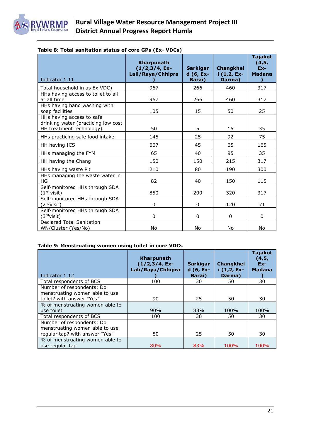

| Indicator 1.11                                                                               | <b>Kharpunath</b><br>$(1/2,3/4, Ex-$<br>Lali/Raya/Chhipra | <b>Sarkigar</b><br>d (6, Ex-<br>Barai) | <b>Changkhel</b><br>$i(1,2, Ex-$<br>Darma) | <b>Tajakot</b><br>(4,5,<br>$Ex-$<br><b>Madana</b> |
|----------------------------------------------------------------------------------------------|-----------------------------------------------------------|----------------------------------------|--------------------------------------------|---------------------------------------------------|
| Total household in as Ex VDC)                                                                | 967                                                       | 266                                    | 460                                        | 317                                               |
| HHs having access to toilet to all<br>at all time                                            | 967                                                       | 266                                    | 460                                        | 317                                               |
| HHs having hand washing with<br>soap facilities                                              | 105                                                       | 15                                     | 50                                         | 25                                                |
| HHs having access to safe<br>drinking water (practicing low cost<br>HH treatment technology) | 50                                                        | 5                                      | 15                                         | 35                                                |
| HHs practicing safe food intake.                                                             | 145                                                       | 25                                     | 92                                         | 75                                                |
| HH having ICS                                                                                | 667                                                       | 45                                     | 65                                         | 165                                               |
| HHs managing the FYM                                                                         | 65                                                        | 40                                     | 95                                         | 35                                                |
| HH having the Chang                                                                          | 150                                                       | 150                                    | 215                                        | 317                                               |
| HHs having waste Pit                                                                         | 210                                                       | 80                                     | 190                                        | 300                                               |
| HHs managing the waste water in<br>HG                                                        | 82                                                        | 40                                     | 150                                        | 115                                               |
| Self-monitored HHs through SDA<br>$(1st$ visit)                                              | 850                                                       | 200                                    | 320                                        | 317                                               |
| Self-monitored HHs through SDA<br>(2 <sup>nd</sup> visit)                                    | 0                                                         | 0                                      | 120                                        | 71                                                |
| Self-monitored HHs through SDA<br>(3 <sup>rd</sup> visit)                                    | 0                                                         | 0                                      | 0                                          | 0                                                 |
| Declared Total Sanitation<br>WN/Cluster (Yes/No)                                             | No                                                        | No                                     | No                                         | No                                                |

#### **Table 8: Total sanitation status of core GPs (Ex- VDCs)**

#### **Table 9: Menstruating women using toilet in core VDCs**

| Indicator 1.12                                                                                | Kharpunath<br>$(1/2,3/4, Ex-$<br>Lali/Raya/Chhipra | <b>Sarkigar</b><br>$d(6, Ex-$<br>Barai) | <b>Changkhel</b><br>$i$ (1,2, Ex-<br>Darma) | <b>Tajakot</b><br>(4, 5,<br>$Ex-$<br><b>Madana</b> |
|-----------------------------------------------------------------------------------------------|----------------------------------------------------|-----------------------------------------|---------------------------------------------|----------------------------------------------------|
| Total respondents of BCS                                                                      | 100                                                | 30                                      | 50                                          | 30                                                 |
| Number of respondents: Do<br>menstruating women able to use<br>toilet? with answer "Yes"      | 90                                                 | 25                                      | 50                                          | 30                                                 |
| % of menstruating women able to<br>use toilet                                                 | 90%                                                | 83%                                     | 100%                                        | 100%                                               |
| Total respondents of BCS                                                                      | 100                                                | 30                                      | 50                                          | 30                                                 |
| Number of respondents: Do<br>menstruating women able to use<br>regular tap? with answer "Yes" | 80                                                 | 25                                      | 50                                          | 30                                                 |
| % of menstruating women able to<br>use regular tap                                            | 80%                                                | 83%                                     | 100%                                        | 100%                                               |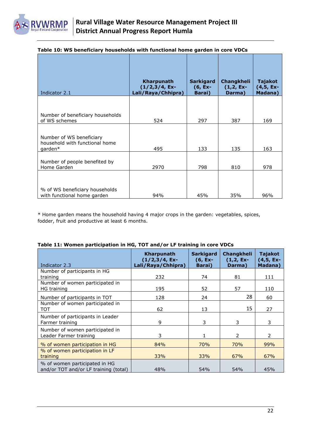

| Indicator 2.1                                                         | Kharpunath<br>$(1/2,3/4, Ex-$<br>Lali/Raya/Chhipra) | <b>Sarkigard</b><br>$(6, Ex-$<br><b>Barai</b> ) | Changkheli<br>$(1,2, Ex-$<br>Darma) | <b>Tajakot</b><br>$(4,5, Ex-$<br>Madana) |
|-----------------------------------------------------------------------|-----------------------------------------------------|-------------------------------------------------|-------------------------------------|------------------------------------------|
| Number of beneficiary households<br>of WS schemes                     | 524                                                 | 297                                             | 387                                 | 169                                      |
| Number of WS beneficiary<br>household with functional home<br>garden* | 495                                                 | 133                                             | 135                                 | 163                                      |
| Number of people benefited by<br>Home Garden                          | 2970                                                | 798                                             | 810                                 | 978                                      |
| % of WS beneficiary households<br>with functional home garden         | 94%                                                 | 45%                                             | 35%                                 | 96%                                      |

#### **Table 10: WS beneficiary households with functional home garden in core VDCs**

\* Home garden means the household having 4 major crops in the garden: vegetables, spices, fodder, fruit and productive at least 6 months.

| Indicator 2.3                                                          | <b>Kharpunath</b><br>$(1/2,3/4, Ex-$<br>Lali/Raya/Chhipra) | <b>Sarkigard</b><br>(6, Ex-<br>Barai) | Changkheli<br>$(1,2, Ex-$<br>Darma) | <b>Tajakot</b><br>$(4,5, Ex-$<br>Madana) |
|------------------------------------------------------------------------|------------------------------------------------------------|---------------------------------------|-------------------------------------|------------------------------------------|
| Number of participants in HG<br>training                               | 232                                                        | 74                                    | 81                                  | 111                                      |
| Number of women participated in<br><b>HG</b> training                  | 195                                                        | 52                                    | 57                                  | 110                                      |
| Number of participants in TOT                                          | 128                                                        | 24                                    | 28                                  | 60                                       |
| Number of women participated in<br>тот                                 | 62                                                         | 13                                    | 15                                  | 27                                       |
| Number of participants in Leader<br>Farmer training                    | 9                                                          | 3                                     | 3                                   | 3                                        |
| Number of women participated in<br>Leader Farmer training              | 3                                                          | 1                                     | $\mathcal{P}$                       | $\mathcal{P}$                            |
| % of women participation in HG                                         | 84%                                                        | 70%                                   | 70%                                 | 99%                                      |
| % of women participation in LF<br>training                             | 33%                                                        | 33%                                   | 67%                                 | 67%                                      |
| % of women participated in HG<br>and/or TOT and/or LF training (total) | 48%                                                        | 54%                                   | 54%                                 | 45%                                      |

#### **Table 11: Women participation in HG, TOT and/or LF training in core VDCs**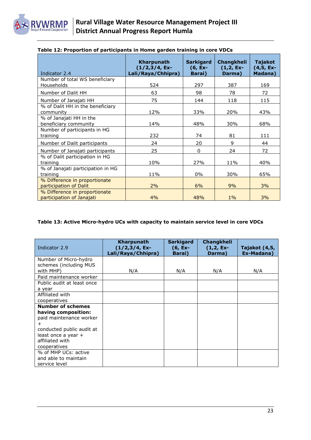

| Indicator 2.4                                              | Kharpunath<br>$(1/2,3/4, Ex-$<br>Lali/Raya/Chhipra) | <b>Sarkigard</b><br>$(6, Ex-$<br><b>Barai</b> ) | Changkheli<br>$(1,2,Ex-$<br>Darma) | Tajakot<br>(4,5, Ex-<br>Madana) |
|------------------------------------------------------------|-----------------------------------------------------|-------------------------------------------------|------------------------------------|---------------------------------|
| Number of total WS beneficiary<br>Households               | 524                                                 | 297                                             | 387                                | 169                             |
| Number of Dalit HH                                         | 63                                                  | 98                                              | 78                                 | 72                              |
| Number of Janajati HH                                      | 75                                                  | 144                                             | 118                                | 115                             |
| % of Dalit HH in the beneficiary<br>community              | 12%                                                 | 33%                                             | 20%                                | 43%                             |
| % of Janajati HH in the<br>beneficiary community           | 14%                                                 | 48%                                             | 30%                                | 68%                             |
| Number of participants in HG<br>training                   | 232                                                 | 74                                              | 81                                 | 111                             |
| Number of Dalit participants                               | 24                                                  | 20                                              | 9                                  | 44                              |
| Number of Janajati participants                            | 25                                                  | $\mathbf{0}$                                    | 24                                 | 72                              |
| % of Dalit participation in HG<br>training                 | 10%                                                 | 27%                                             | 11%                                | 40%                             |
| % of Janajati participation in HG<br>training              | 11%                                                 | $0\%$                                           | 30%                                | 65%                             |
| % Difference in proportionate<br>participation of Dalit    | 2%                                                  | 6%                                              | 9%                                 | 3%                              |
| % Difference in proportionate<br>participation of Janajati | 4%                                                  | 48%                                             | $1\%$                              | 3%                              |

#### **Table 12: Proportion of participants in Home garden training in core VDCs**

#### **Table 13: Active Micro-hydro UCs with capacity to maintain service level in core VDCs**

| Indicator 2.9              | <b>Kharpunath</b><br>(1/2,3/4, Ex-<br>Lali/Raya/Chhipra) | <b>Sarkigard</b><br>$(6, Ex-$<br><b>Barai</b> ) | Changkheli<br>$(1,2, Ex-$<br>Darma) | Tajakot (4,5,<br>Ex-Madana) |
|----------------------------|----------------------------------------------------------|-------------------------------------------------|-------------------------------------|-----------------------------|
| Number of Micro-hydro      |                                                          |                                                 |                                     |                             |
| schemes (including MUS     |                                                          |                                                 |                                     |                             |
| with MHP)                  | N/A                                                      | N/A                                             | N/A                                 | N/A                         |
| Paid maintenance worker    |                                                          |                                                 |                                     |                             |
| Public audit at least once |                                                          |                                                 |                                     |                             |
| a year                     |                                                          |                                                 |                                     |                             |
| Affiliated with            |                                                          |                                                 |                                     |                             |
| cooperatives               |                                                          |                                                 |                                     |                             |
| <b>Number of schemes</b>   |                                                          |                                                 |                                     |                             |
| having composition:        |                                                          |                                                 |                                     |                             |
| paid maintenance worker    |                                                          |                                                 |                                     |                             |
| $\pm$                      |                                                          |                                                 |                                     |                             |
| conducted public audit at  |                                                          |                                                 |                                     |                             |
| least once a year +        |                                                          |                                                 |                                     |                             |
| affiliated with            |                                                          |                                                 |                                     |                             |
| cooperatives               |                                                          |                                                 |                                     |                             |
| % of MHP UCs: active       |                                                          |                                                 |                                     |                             |
| and able to maintain       |                                                          |                                                 |                                     |                             |
| service level              |                                                          |                                                 |                                     |                             |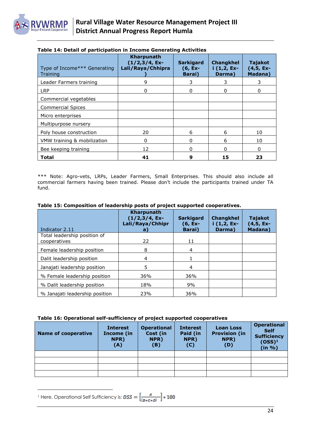

| Type of Income*** Generating<br>Training | Kharpunath<br>$(1/2,3/4, Ex-$<br>Lali/Raya/Chhipra | <b>Sarkigard</b><br>$(6, Ex-$<br><b>Barai</b> ) | <b>Changkhel</b><br>$i$ (1,2, Ex-<br>Darma) | Tajakot<br>$(4,5, Ex-$<br>Madana) |
|------------------------------------------|----------------------------------------------------|-------------------------------------------------|---------------------------------------------|-----------------------------------|
| Leader Farmers training                  | 9                                                  | 3                                               | 3                                           | 3                                 |
| <b>LRP</b>                               | 0                                                  | 0                                               | 0                                           | 0                                 |
| Commercial vegetables                    |                                                    |                                                 |                                             |                                   |
| <b>Commercial Spices</b>                 |                                                    |                                                 |                                             |                                   |
| Micro enterprises                        |                                                    |                                                 |                                             |                                   |
| Multipurpose nursery                     |                                                    |                                                 |                                             |                                   |
| Poly house construction                  | 20                                                 | 6                                               | 6                                           | 10                                |
| VMW training & mobilization              | 0                                                  | 0                                               | 6                                           | 10                                |
| Bee keeping training                     | 12                                                 | 0                                               | O                                           | 0                                 |
| Total                                    | 41                                                 | 9                                               | 15                                          | 23                                |

#### **Table 14: Detail of participation in Income Generating Activities**

\*\*\* Note: Agro-vets, LRPs, Leader Farmers, Small Enterprises. This should also include all commercial farmers having been trained. Please don't include the participants trained under TA fund.

| Indicator 2.11                               | <b>Kharpunath</b><br>$(1/2,3/4, Ex-$<br>Lali/Raya/Chhipr<br>а | <b>Sarkigard</b><br>$(6, Ex-$<br>Barai) | <b>Changkhel</b><br>$i$ (1,2, Ex-<br>Darma) | <b>Tajakot</b><br>(4,5, Ex-<br><b>Madana</b> ) |
|----------------------------------------------|---------------------------------------------------------------|-----------------------------------------|---------------------------------------------|------------------------------------------------|
| Total leadership position of<br>cooperatives | 22                                                            | 11                                      |                                             |                                                |
| Female leadership position                   | 8                                                             | 4                                       |                                             |                                                |
| Dalit leadership position                    | 4                                                             |                                         |                                             |                                                |
| Janajati leadership position                 | 5.                                                            | 4                                       |                                             |                                                |
| % Female leadership position                 | 36%                                                           | 36%                                     |                                             |                                                |
| % Dalit leadership position                  | 18%                                                           | 9%                                      |                                             |                                                |
| % Janajati leadership position               | 23%                                                           | 36%                                     |                                             |                                                |

#### **Table 15: Composition of leadership posts of project supported cooperatives.**

#### **Table 16: Operational self-sufficiency of project supported cooperatives**

| <b>Name of cooperative</b> | <b>Interest</b><br>Income (in<br>NPR)<br>(A) | <b>Operational</b><br>Cost (in<br>NPR)<br>(B) | <b>Interest</b><br>Paid (in<br>NPR)<br>(C) | <b>Loan Loss</b><br><b>Provision (in</b><br>NPR)<br>(D) | <b>Operational</b><br><b>Self</b><br><b>Sufficiency</b><br>$(OSS)^1$<br>(in %) |
|----------------------------|----------------------------------------------|-----------------------------------------------|--------------------------------------------|---------------------------------------------------------|--------------------------------------------------------------------------------|
|                            |                                              |                                               |                                            |                                                         |                                                                                |
|                            |                                              |                                               |                                            |                                                         |                                                                                |
|                            |                                              |                                               |                                            |                                                         |                                                                                |
|                            |                                              |                                               |                                            |                                                         |                                                                                |

 $\overline{\phantom{a}}$ <sup>1</sup> Here, Operational Self Sufficiency is: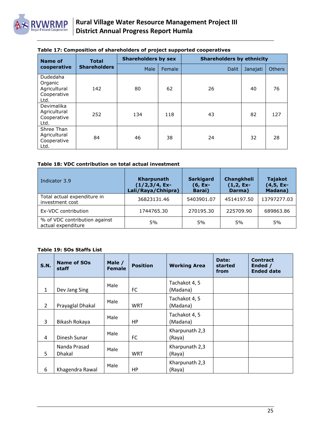

| <b>Name of</b>                                                    | <b>Total</b>        | <b>Shareholders by sex</b> |        | <b>Shareholders by ethnicity</b> |          |               |  |
|-------------------------------------------------------------------|---------------------|----------------------------|--------|----------------------------------|----------|---------------|--|
| cooperative                                                       | <b>Shareholders</b> | Male                       | Female | <b>Dalit</b>                     | Janajati | <b>Others</b> |  |
| <b>Dudedaha</b><br>Organic<br>Agricultural<br>Cooperative<br>Ltd. | 142                 | 80                         | 62     | 26                               | 40       | 76            |  |
| Devimalika<br>Agricultural<br>Cooperative<br>Ltd.                 | 252                 | 134                        | 118    | 43                               | 82       | 127           |  |
| Shree Than<br>Agricultural<br>Cooperative<br>Ltd.                 | 84                  | 46                         | 38     | 24                               | 32       | 28            |  |

#### **Table 17: Composition of shareholders of project supported cooperatives**

#### **Table 18: VDC contribution on total actual investment**

| Indicator 3.9                                       | Kharpunath<br>$(1/2,3/4, Ex-$<br>Lali/Raya/Chhipra) | <b>Sarkigard</b><br>$(6, Ex-$<br>Barai) | Changkheli<br>$(1,2, Ex-$<br>Darma) | <b>Tajakot</b><br>$(4,5, Ex-$<br>Madana) |
|-----------------------------------------------------|-----------------------------------------------------|-----------------------------------------|-------------------------------------|------------------------------------------|
| Total actual expenditure in<br>investment cost      | 36823131.46                                         | 5403901.07                              | 4514197.50                          | 13797277.03                              |
| Ex-VDC contribution                                 | 1744765.30                                          | 270195.30                               | 225709.90                           | 689863.86                                |
| % of VDC contribution against<br>actual expenditure | 5%                                                  | 5%                                      | 5%                                  | 5%                                       |

#### **Table 19: SOs Staffs List**

| <b>S.N.</b>    | <b>Name of SOs</b><br>staff   | Male /<br><b>Female</b> | <b>Position</b> | <b>Working Area</b>       | Date:<br>started<br>from | <b>Contract</b><br>Ended /<br><b>Ended date</b> |
|----------------|-------------------------------|-------------------------|-----------------|---------------------------|--------------------------|-------------------------------------------------|
| $\mathbf{1}$   | Dev Jang Sing                 | Male                    | FC              | Tachakot 4, 5<br>(Madana) |                          |                                                 |
| $\overline{2}$ | Prayaglal Dhakal              | Male                    | WRT             | Tachakot 4, 5<br>(Madana) |                          |                                                 |
| 3              | Bikash Rokaya                 | Male                    | HP              | Tachakot 4, 5<br>(Madana) |                          |                                                 |
| 4              | Dinesh Sunar                  | Male                    | FC              | Kharpunath 2,3<br>(Raya)  |                          |                                                 |
| 5              | Nanda Prasad<br><b>Dhakal</b> | Male                    | <b>WRT</b>      | Kharpunath 2,3<br>(Raya)  |                          |                                                 |
| 6              | Khagendra Rawal               | Male                    | <b>HP</b>       | Kharpunath 2,3<br>(Raya)  |                          |                                                 |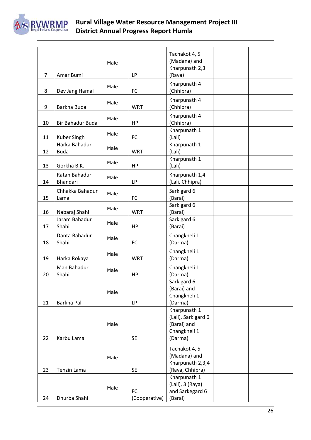

## **Rural Village Water Resource Management Project III District Annual Progress Report Humla**

|                |                  |      |               | Tachakot 4, 5                    |  |
|----------------|------------------|------|---------------|----------------------------------|--|
|                |                  | Male |               | (Madana) and                     |  |
|                |                  |      |               | Kharpunath 2,3                   |  |
| $\overline{7}$ | Amar Bumi        |      | <b>LP</b>     | (Raya)                           |  |
|                |                  | Male |               | Kharpunath 4                     |  |
| 8              | Dev Jang Hamal   |      | <b>FC</b>     | (Chhipra)                        |  |
|                |                  |      |               | Kharpunath 4                     |  |
| 9              | Barkha Buda      | Male | <b>WRT</b>    | (Chhipra)                        |  |
|                |                  |      |               | Kharpunath 4                     |  |
| 10             | Bir Bahadur Buda | Male | <b>HP</b>     | (Chhipra)                        |  |
|                |                  |      |               | Kharpunath 1                     |  |
| 11             | Kuber Singh      | Male | FC            | (Lali)                           |  |
|                | Harka Bahadur    |      |               | Kharpunath 1                     |  |
| 12             | <b>Buda</b>      | Male | <b>WRT</b>    | (Lali)                           |  |
|                |                  |      |               | Kharpunath 1                     |  |
| 13             | Gorkha B.K.      | Male | HP            | (Lali)                           |  |
|                | Ratan Bahadur    |      |               | Kharpunath 1,4                   |  |
| 14             | Bhandari         | Male | <b>LP</b>     | (Lali, Chhipra)                  |  |
|                | Chhakka Bahadur  |      |               | Sarkigard 6                      |  |
| 15             | Lama             | Male | FC            | (Barai)                          |  |
|                |                  |      |               | Sarkigard 6                      |  |
| 16             | Nabaraj Shahi    | Male | <b>WRT</b>    | (Barai)                          |  |
|                | Jaram Bahadur    |      |               | Sarkigard 6                      |  |
| 17             | Shahi            | Male | HP            | (Barai)                          |  |
|                | Danta Bahadur    |      |               | Changkheli 1                     |  |
| 18             | Shahi            | Male | FC            | (Darma)                          |  |
|                |                  |      |               |                                  |  |
| 19             | Harka Rokaya     | Male | <b>WRT</b>    | Changkheli 1<br>(Darma)          |  |
|                |                  |      |               |                                  |  |
|                | Man Bahadur      | Male |               | Changkheli 1                     |  |
| 20             | Shahi            |      | <b>HP</b>     | (Darma)                          |  |
|                |                  |      |               | Sarkigard 6<br>(Barai) and       |  |
|                |                  | Male |               | Changkheli 1                     |  |
| 21             | Barkha Pal       |      | <b>LP</b>     | (Darma)                          |  |
|                |                  |      |               | Kharpunath 1                     |  |
|                |                  |      |               | (Lali), Sarkigard 6              |  |
|                |                  | Male |               | (Barai) and                      |  |
|                |                  |      |               | Changkheli 1                     |  |
| 22             | Karbu Lama       |      | <b>SE</b>     | (Darma)                          |  |
|                |                  |      |               |                                  |  |
|                |                  |      |               | Tachakot 4, 5                    |  |
|                |                  | Male |               | (Madana) and<br>Kharpunath 2,3,4 |  |
| 23             | Tenzin Lama      |      | <b>SE</b>     | (Raya, Chhipra)                  |  |
|                |                  |      |               | Kharpunath 1                     |  |
|                |                  |      |               | (Lali), 3 (Raya)                 |  |
|                |                  | Male | FC            | and Sarkegard 6                  |  |
| 24             | Dhurba Shahi     |      | (Cooperative) | (Barai)                          |  |
|                |                  |      |               |                                  |  |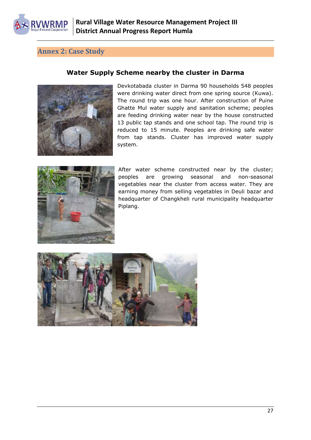**WRMP** 

## <span id="page-26-0"></span>**Annex 2: Case Study**

## **Water Supply Scheme nearby the cluster in Darma**



Devkotabada cluster in Darma 90 households 548 peoples were drinking water direct from one spring source (Kuwa). The round trip was one hour. After construction of Puine Ghatte Mul water supply and sanitation scheme; peoples are feeding drinking water near by the house constructed 13 public tap stands and one school tap. The round trip is reduced to 15 minute. Peoples are drinking safe water from tap stands. Cluster has improved water supply system.



After water scheme constructed near by the cluster; peoples are growing seasonal and non-seasonal vegetables near the cluster from access water. They are earning money from selling vegetables in Deuli bazar and headquarter of Changkheli rural municipality headquarter Piplang.